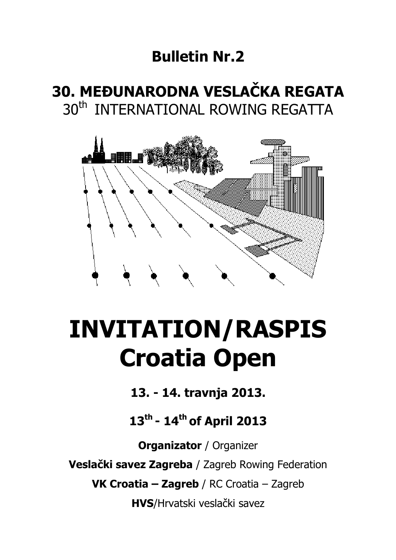## **Bulletin Nr.2**

# **30. MEĐUNARODNA VESLAČKA REGATA**  30<sup>th</sup> INTERNATIONAL ROWING REGATTA



# **INVITATION/RASPIS Croatia Open**

**13. - 14. travnja 2013.** 

**13th - 14th of April 2013** 

**Organizator** / Organizer **Veslački savez Zagreba** / Zagreb Rowing Federation **VK Croatia – Zagreb** / RC Croatia – Zagreb **HVS**/Hrvatski veslački savez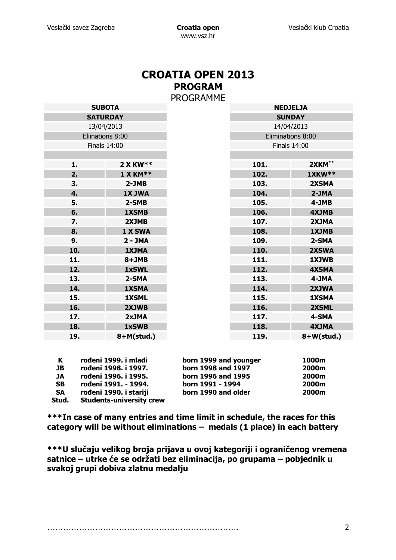### **CROATIA OPEN 2013 PROGRAM**  PROGRAMME

| <b>SUBOTA</b>       |               | . v J V L | <b>NEDJELJA</b>     |               |
|---------------------|---------------|-----------|---------------------|---------------|
| <b>SATURDAY</b>     |               |           | <b>SUNDAY</b>       |               |
| 13/04/2013          |               |           | 14/04/2013          |               |
| Eliinations 8:00    |               |           | Eliminations 8:00   |               |
| <b>Finals 14:00</b> |               |           | <b>Finals 14:00</b> |               |
|                     |               |           |                     |               |
| 1.                  | 2 X KW**      |           | 101.                | 2XKM**        |
| 2.                  | $1$ X KM**    |           | 102.                | <b>1XKW**</b> |
| 3.                  | $2-JMB$       |           | 103.                | 2XSMA         |
| 4.                  | <b>1X JWA</b> |           | 104.                | $2-JMA$       |
| 5.                  | 2-SMB         |           | 105.                | 4-JMB         |
| 6.                  | <b>1XSMB</b>  |           | 106.                | <b>4XJMB</b>  |
| 7.                  | 2XJMB         |           | 107.                | 2XJMA         |
| 8.                  | 1 X SWA       |           | 108.                | 1XJMB         |
| 9.                  | $2 - JMA$     |           | 109.                | 2-SMA         |
| 10.                 | <b>1XJMA</b>  |           | 110.                | 2XSWA         |
| 11.                 | $8+JMB$       |           | 111.                | 1XJWB         |
| 12.                 | 1xSWL         |           | 112.                | <b>4XSMA</b>  |
| 13.                 | 2-SMA         |           | 113.                | 4-JMA         |
| 14.                 | <b>1XSMA</b>  |           | 114.                | 2XJWA         |
| 15.                 | <b>1XSML</b>  |           | 115.                | <b>1XSMA</b>  |
| 16.                 | 2XJWB         |           | 116.                | 2XSML         |
| 17.                 | 2xJMA         |           | 117.                | 4-SMA         |
| 18.                 | 1xSWB         |           | 118.                | <b>4XJMA</b>  |
| 19.                 | $8+M(stat.)$  |           | 119.                | $8+W(stud.)$  |

| К         | rođeni 1999. i mlađi            | born 1999 and younger | 1000m |
|-----------|---------------------------------|-----------------------|-------|
| JВ        | rođeni 1998. i 1997.            | born 1998 and 1997    | 2000m |
| JA        | rođeni 1996. i 1995.            | born 1996 and 1995    | 2000m |
| <b>SB</b> | rođeni 1991. - 1994.            | born 1991 - 1994      | 2000m |
| <b>SA</b> | rođeni 1990. i stariji          | born 1990 and older   | 2000m |
| Stud.     | <b>Students-university crew</b> |                       |       |

**\*\*\*In case of many entries and time limit in schedule, the races for this category will be without eliminations – medals (1 place) in each battery** 

**\*\*\*U slučaju velikog broja prijava u ovoj kategoriji i ograničenog vremena satnice – utrke će se održati bez eliminacija, po grupama – pobjednik u svakoj grupi dobiva zlatnu medalju**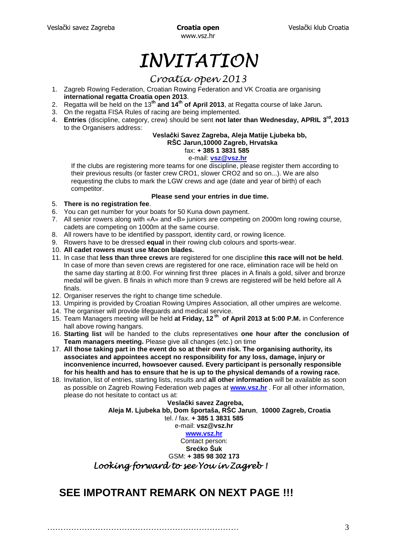www.vsz.hr

# INVITATION

### Croatia open 2013

- 1. Zagreb Rowing Federation, Croatian Rowing Federation and VK Croatia are organising **international regatta Croatia open 2013**.
- 2. Regatta will be held on the 13**th and 14th of April 2013**, at Regatta course of lake Jarun**.**
- 3. On the regatta FISA Rules of racing are being implemented.
- 4. **Entries** (discipline, category, crew) should be sent **not later than Wednesday, APRIL 3rd , 2013** to the Organisers address:

#### **Veslački Savez Zagreba, Aleja Matije Ljubeka bb, RŠC Jarun,10000 Zagreb, Hrvatska**

fax: **+ 385 1 3831 585**

#### e-mail: **vsz@vsz.hr**

If the clubs are registering more teams for one discipline, please register them according to their previous results (or faster crew CRO1, slower CRO2 and so on...). We are also requesting the clubs to mark the LGW crews and age (date and year of birth) of each competitor.

#### **Please send your entries in due time.**

- 5. **There is no registration fee**.
- 6. You can get number for your boats for 50 Kuna down payment.
- 7. All senior rowers along with «A» and «B» juniors are competing on 2000m long rowing course, cadets are competing on 1000m at the same course.
- 8. All rowers have to be identified by passport, identity card, or rowing licence.
- 9. Rowers have to be dressed **equal** in their rowing club colours and sports-wear.
- 10. **All cadet rowers must use Macon blades.**
- 11. In case that **less than three crews** are registered for one discipline **this race will not be held**. In case of more than seven crews are registered for one race, elimination race will be held on the same day starting at 8:00. For winning first three places in A finals a gold, silver and bronze medal will be given. B finals in which more than 9 crews are registered will be held before all A finals.
- 12. Organiser reserves the right to change time schedule.
- 13. Umpiring is provided by Croatian Rowing Umpires Association, all other umpires are welcome.
- 14. The organiser will provide lifeguards and medical service.
- 15. Team Managers meeting will be held **at Friday, 12 th of April 2013 at 5:00 P.M.** in Conference hall above rowing hangars.
- 16. **Starting list** will be handed to the clubs representatives **one hour after the conclusion of Team managers meeting.** Please give all changes (etc.) on time
- 17. **All those taking part in the event do so at their own risk. The organising authority, its associates and appointees accept no responsibility for any loss, damage, injury or inconvenience incurred, howsoever caused. Every participant is personally responsible for his health and has to ensure that he is up to the physical demands of a rowing race.**
- 18. Invitation, list of entries, starting lists, results and **all other information** will be available as soon as possible on Zagreb Rowing Federation web pages at **www.vsz.hr** . For all other information, please do not hesitate to contact us at:

 **Veslački savez Zagreba, Aleja M. Ljubeka bb, Dom športaša, RŠC Jarun**, **10000 Zagreb, Croatia** tel. / fax. **+ 385 1 3831 585**

e-mail: **vsz@vsz.hr**

#### **www.vsz.hr**

Contact person:

**Srećko Šuk**  GSM: **+ 385 98 302 173** 

Looking forward to see You in Zagreb!

### **SEE IMPOTRANT REMARK ON NEXT PAGE !!!**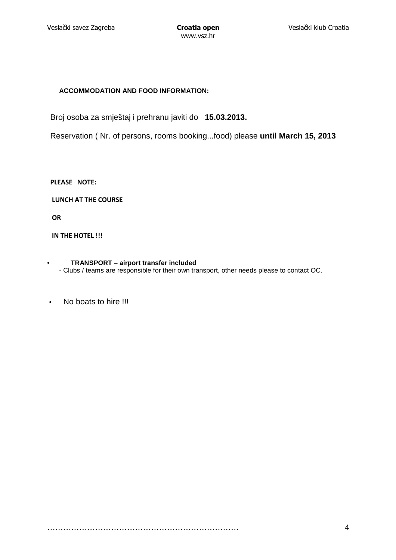#### **ACCOMMODATION AND FOOD INFORMATION:**

Broj osoba za smještaj i prehranu javiti do **15.03.2013.**

Reservation ( Nr. of persons, rooms booking...food) please **until March 15, 2013**

**PLEASE NOTE:** 

 **LUNCH AT THE COURSE**

 **OR** 

**IN THE HOTEL !!!** 

#### • **TRANSPORT – airport transfer included**

- Clubs / teams are responsible for their own transport, other needs please to contact OC.
- No boats to hire !!!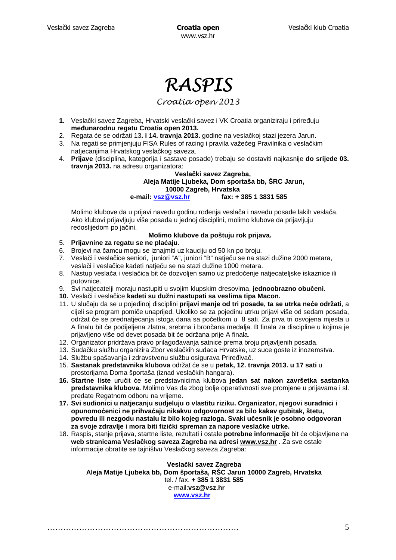# RASPIS

#### Croatia open 2013

- **1.** Veslački savez Zagreba, Hrvatski veslački savez i VK Croatia organiziraju i priređuju **međunarodnu regatu Croatia open 2013.**
- 2. Regata će se održati 13**. i 14. travnja 2013.** godine na veslačkoj stazi jezera Jarun.
- 3. Na regati se primjenjuju FISA Rules of racing i pravila važećeg Pravilnika o veslačkim natjecanjima Hrvatskog veslačkog saveza.
- 4. **Prijave** (disciplina, kategorija i sastave posade) trebaju se dostaviti najkasnije **do srijede 03. travnja 2013.** na adresu organizatora:

#### **Veslački savez Zagreba, Aleja Matije Ljubeka, Dom sportaša bb, ŠRC Jarun, 10000 Zagreb, Hrvatska**

 **e-mail: vsz@vsz.hr fax: + 385 1 3831 585** 

Molimo klubove da u prijavi navedu godinu rođenja veslača i navedu posade lakih veslača. Ako klubovi prijavljuju više posada u jednoj disciplini, molimo klubove da prijavljuju redoslijedom po jačini.

#### **Molimo klubove da poštuju rok prijava.**

- 5. **Prijavnine za regatu se ne plaćaju**.
- 6. Brojevi na čamcu mogu se iznajmiti uz kauciju od 50 kn po broju.
- 7. Veslači i veslačice seniori, juniori "A", juniori "B" natječu se na stazi dužine 2000 metara, veslači i veslačice kadeti natječu se na stazi dužine 1000 metara.
- 8. Nastup veslača i veslačica bit će dozvoljen samo uz predočenje natjecateljske iskaznice ili putovnice.
- 9. Svi natjecatelji moraju nastupiti u svojim klupskim dresovima, **jednoobrazno obučeni**.
- **10.** Veslači i veslačice **kadeti su dužni nastupati sa veslima tipa Macon.**
- 11. U slučaju da se u pojedinoj disciplini **prijavi manje od tri posade, ta se utrka neće održati**, a cijeli se program pomiče unaprijed. Ukoliko se za pojedinu utrku prijavi više od sedam posada, održat će se prednatjecanja istoga dana sa početkom u 8 sati. Za prva tri osvojena mjesta u A finalu bit će podijeljena zlatna, srebrna i brončana medalja. B finala za discipline u kojima je prijavljeno više od devet posada bit će održana prije A finala.
- 12. Organizator pridržava pravo prilagođavanja satnice prema broju prijavljenih posada.
- 13. Sudačku službu organizira Zbor veslačkih sudaca Hrvatske, uz suce goste iz inozemstva.
- 14. Službu spašavanja i zdravstvenu službu osigurava Priređivač.
- 15. **Sastanak predstavnika klubova** održat će se u **petak, 12. travnja 2013. u 17 sati** u prostorijama Doma športaša (iznad veslačkih hangara).
- **16. Startne liste** uručit će se predstavnicima klubova **jedan sat nakon završetka sastanka predstavnika klubova.** Molimo Vas da zbog bolje operativnosti sve promjene u prijavama i sl. predate Regatnom odboru na vrijeme.
- **17. Svi sudionici u natjecanju sudjeluju o vlastitu riziku. Organizator, njegovi suradnici i opunomoćenici ne prihvaćaju nikakvu odgovornost za bilo kakav gubitak, štetu, povredu ili nezgodu nastalu iz bilo kojeg razloga. Svaki učesnik je osobno odgovoran za svoje zdravlje i mora biti fizički spreman za napore veslačke utrke.**
- 18. Raspis, stanje prijava, startne liste, rezultati i ostale **potrebne informacije** bit će objavljene na **web stranicama Veslačkog saveza Zagreba na adresi www.vsz.hr** . Za sve ostale informacije obratite se tajništvu Veslačkog saveza Zagreba:

#### **Veslački savez Zagreba Aleja Matije Ljubeka bb, Dom športaša, RŠC Jarun 10000 Zagreb, Hrvatska**  tel. / fax. **+ 385 1 3831 585** e-mail:**vsz@vsz.hr www.vsz.hr**